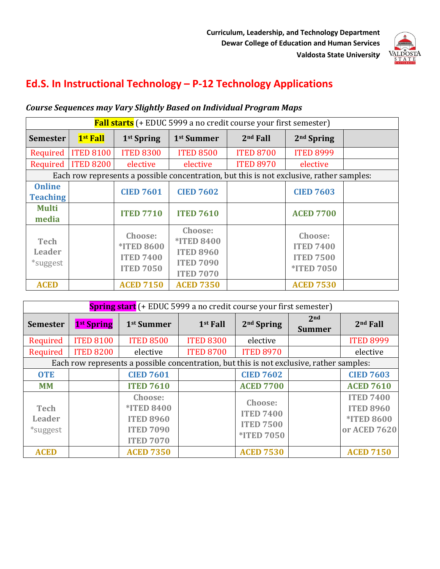

# **Ed.S. In Instructional Technology – P-12 Technology Applications**

# **Course Sequences may Vary Slightly Based on Individual Program Maps**

| <b>Fall starts</b> (+ EDUC 5999 a no credit course your first semester)                  |                  |                                                                      |                                                                                          |                  |                                                                      |  |  |  |  |  |  |
|------------------------------------------------------------------------------------------|------------------|----------------------------------------------------------------------|------------------------------------------------------------------------------------------|------------------|----------------------------------------------------------------------|--|--|--|--|--|--|
| <b>Semester</b>                                                                          | 1st Fall         | 1 <sup>st</sup> Spring                                               | 1 <sup>st</sup> Summer                                                                   | $2nd$ Fall       | $2nd$ Spring                                                         |  |  |  |  |  |  |
| Required                                                                                 | <b>ITED 8100</b> | <b>ITED 8300</b>                                                     | <b>ITED 8500</b>                                                                         | <b>ITED 8700</b> | <b>ITED 8999</b>                                                     |  |  |  |  |  |  |
| Required                                                                                 | <b>ITED 8200</b> | elective                                                             | elective                                                                                 | <b>ITED 8970</b> | elective                                                             |  |  |  |  |  |  |
| Each row represents a possible concentration, but this is not exclusive, rather samples: |                  |                                                                      |                                                                                          |                  |                                                                      |  |  |  |  |  |  |
| <b>Online</b><br><b>Teaching</b>                                                         |                  | <b>CIED 7601</b>                                                     | <b>CIED 7602</b>                                                                         |                  | <b>CIED 7603</b>                                                     |  |  |  |  |  |  |
| <b>Multi</b><br>media                                                                    |                  | <b>ITED 7710</b>                                                     | <b>ITED 7610</b>                                                                         |                  | <b>ACED 7700</b>                                                     |  |  |  |  |  |  |
| <b>Tech</b><br>Leader<br>*suggest                                                        |                  | Choose:<br><b>*ITED 8600</b><br><b>ITED 7400</b><br><b>ITED 7050</b> | Choose:<br><b>*ITED 8400</b><br><b>ITED 8960</b><br><b>ITED 7090</b><br><b>ITED 7070</b> |                  | Choose:<br><b>ITED 7400</b><br><b>ITED 7500</b><br><b>*ITED 7050</b> |  |  |  |  |  |  |
| <b>ACED</b>                                                                              |                  | <b>ACED 7150</b>                                                     | <b>ACED 7350</b>                                                                         |                  | <b>ACED 7530</b>                                                     |  |  |  |  |  |  |

| <b>Spring start</b> (+ EDUC 5999 a no credit course your first semester)                 |                        |                                                                                          |                      |                                                                      |                                  |                                                                           |  |  |  |  |
|------------------------------------------------------------------------------------------|------------------------|------------------------------------------------------------------------------------------|----------------------|----------------------------------------------------------------------|----------------------------------|---------------------------------------------------------------------------|--|--|--|--|
| <b>Semester</b>                                                                          | 1 <sup>st</sup> Spring | 1 <sup>st</sup> Summer                                                                   | 1 <sup>st</sup> Fall | 2 <sup>nd</sup> Spring                                               | 2 <sub>nd</sub><br><b>Summer</b> | 2 <sup>nd</sup> Fall                                                      |  |  |  |  |
| Required                                                                                 | <b>ITED 8100</b>       | <b>ITED 8500</b>                                                                         | <b>ITED 8300</b>     | elective                                                             |                                  | <b>ITED 8999</b>                                                          |  |  |  |  |
| Required                                                                                 | <b>ITED 8200</b>       | elective                                                                                 | <b>ITED 8700</b>     | <b>ITED 8970</b>                                                     |                                  | elective                                                                  |  |  |  |  |
| Each row represents a possible concentration, but this is not exclusive, rather samples: |                        |                                                                                          |                      |                                                                      |                                  |                                                                           |  |  |  |  |
| <b>OTE</b>                                                                               |                        | <b>CIED 7601</b>                                                                         |                      | <b>CIED 7602</b>                                                     |                                  | <b>CIED 7603</b>                                                          |  |  |  |  |
| <b>MM</b>                                                                                |                        | <b>ITED 7610</b>                                                                         |                      | <b>ACED 7700</b>                                                     |                                  | <b>ACED 7610</b>                                                          |  |  |  |  |
| <b>Tech</b><br><b>Leader</b><br>*suggest                                                 |                        | Choose:<br><b>*ITED 8400</b><br><b>ITED 8960</b><br><b>ITED 7090</b><br><b>ITED 7070</b> |                      | Choose:<br><b>ITED 7400</b><br><b>ITED 7500</b><br><b>*ITED 7050</b> |                                  | <b>ITED 7400</b><br><b>ITED 8960</b><br><b>*ITED 8600</b><br>or ACED 7620 |  |  |  |  |
| <b>ACED</b>                                                                              |                        | <b>ACED 7350</b>                                                                         |                      | <b>ACED 7530</b>                                                     |                                  | <b>ACED 7150</b>                                                          |  |  |  |  |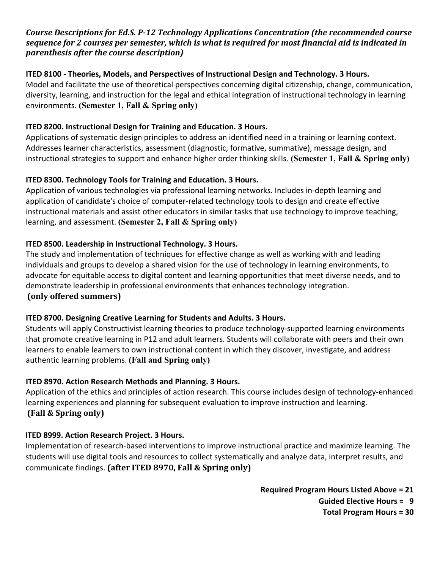# Course Descriptions for Ed.S. P-12 Technology Applications Concentration (the recommended course sequence for 2 courses per semester, which is what is required for most financial aid is indicated in *parenthesis after the course description*)

#### **ITED 8100 - Theories, Models, and Perspectives of Instructional Design and Technology. 3 Hours.**

Model and facilitate the use of theoretical perspectives concerning digital citizenship, change, communication, diversity, learning, and instruction for the legal and ethical integration of instructional technology in learning environments. **(Semester 1, Fall & Spring only)**

# **ITED 8200. Instructional Design for Training and Education. 3 Hours.**

Applications of systematic design principles to address an identified need in a training or learning context. Addresses learner characteristics, assessment (diagnostic, formative, summative), message design, and instructional strategies to support and enhance higher order thinking skills. **(Semester 1, Fall & Spring only)**

# **ITED 8300. Technology Tools for Training and Education. 3 Hours.**

Application of various technologies via professional learning networks. Includes in-depth learning and application of candidate's choice of computer-related technology tools to design and create effective instructional materials and assist other educators in similar tasks that use technology to improve teaching, learning, and assessment. **(Semester 2, Fall & Spring only)**

# **ITED 8500. Leadership in Instructional Technology. 3 Hours.**

The study and implementation of techniques for effective change as well as working with and leading individuals and groups to develop a shared vision for the use of technology in learning environments, to advocate for equitable access to digital content and learning opportunities that meet diverse needs, and to demonstrate leadership in professional environments that enhances technology integration. **(only offered summers)**

# **ITED 8700. Designing Creative Learning for Students and Adults. 3 Hours.**

Students will apply Constructivist learning theories to produce technology-supported learning environments that promote creative learning in P12 and adult learners. Students will collaborate with peers and their own learners to enable learners to own instructional content in which they discover, investigate, and address authentic learning problems. **(Fall and Spring only)**

# **ITED 8970. Action Research Methods and Planning. 3 Hours.**

Application of the ethics and principles of action research. This course includes design of technology-enhanced learning experiences and planning for subsequent evaluation to improve instruction and learning. **(Fall & Spring only)**

# **ITED 8999. Action Research Project. 3 Hours.**

Implementation of research-based interventions to improve instructional practice and maximize learning. The students will use digital tools and resources to collect systematically and analyze data, interpret results, and communicate findings. (after ITED 8970, Fall & Spring only)

> **Required Program Hours Listed Above = 21 Guided Elective Hours = 9**

**Total Program Hours = 30**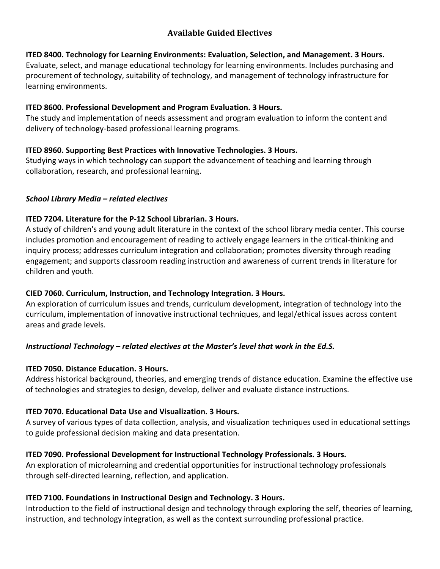# **Available Guided Electives**

#### **ITED 8400. Technology for Learning Environments: Evaluation, Selection, and Management. 3 Hours.**

Evaluate, select, and manage educational technology for learning environments. Includes purchasing and procurement of technology, suitability of technology, and management of technology infrastructure for learning environments.

#### **ITED 8600. Professional Development and Program Evaluation. 3 Hours.**

The study and implementation of needs assessment and program evaluation to inform the content and delivery of technology-based professional learning programs.

# **ITED 8960. Supporting Best Practices with Innovative Technologies. 3 Hours.**

Studying ways in which technology can support the advancement of teaching and learning through collaboration, research, and professional learning.

#### *School Library Media – related electives*

# **ITED 7204. Literature for the P-12 School Librarian. 3 Hours.**

A study of children's and young adult literature in the context of the school library media center. This course includes promotion and encouragement of reading to actively engage learners in the critical-thinking and inquiry process; addresses curriculum integration and collaboration; promotes diversity through reading engagement; and supports classroom reading instruction and awareness of current trends in literature for children and youth.

# **CIED 7060. Curriculum, Instruction, and Technology Integration. 3 Hours.**

An exploration of curriculum issues and trends, curriculum development, integration of technology into the curriculum, implementation of innovative instructional techniques, and legal/ethical issues across content areas and grade levels.

# *Instructional Technology – related electives at the Master's level that work in the Ed.S.*

# **ITED 7050. Distance Education. 3 Hours.**

Address historical background, theories, and emerging trends of distance education. Examine the effective use of technologies and strategies to design, develop, deliver and evaluate distance instructions.

# **ITED 7070. Educational Data Use and Visualization. 3 Hours.**

A survey of various types of data collection, analysis, and visualization techniques used in educational settings to guide professional decision making and data presentation.

# **ITED 7090. Professional Development for Instructional Technology Professionals. 3 Hours.**

An exploration of microlearning and credential opportunities for instructional technology professionals through self-directed learning, reflection, and application.

# **ITED 7100. Foundations in Instructional Design and Technology. 3 Hours.**

Introduction to the field of instructional design and technology through exploring the self, theories of learning, instruction, and technology integration, as well as the context surrounding professional practice.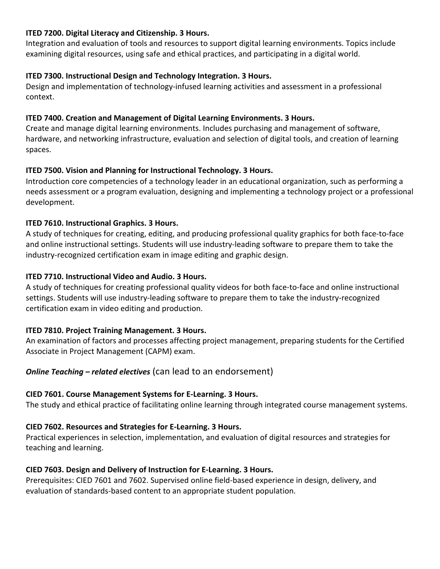#### **ITED 7200. Digital Literacy and Citizenship. 3 Hours.**

Integration and evaluation of tools and resources to support digital learning environments. Topics include examining digital resources, using safe and ethical practices, and participating in a digital world.

#### **ITED 7300. Instructional Design and Technology Integration. 3 Hours.**

Design and implementation of technology-infused learning activities and assessment in a professional context.

#### **ITED 7400. Creation and Management of Digital Learning Environments. 3 Hours.**

Create and manage digital learning environments. Includes purchasing and management of software, hardware, and networking infrastructure, evaluation and selection of digital tools, and creation of learning spaces.

# **ITED 7500. Vision and Planning for Instructional Technology. 3 Hours.**

Introduction core competencies of a technology leader in an educational organization, such as performing a needs assessment or a program evaluation, designing and implementing a technology project or a professional development.

# **ITED 7610. Instructional Graphics. 3 Hours.**

A study of techniques for creating, editing, and producing professional quality graphics for both face-to-face and online instructional settings. Students will use industry-leading software to prepare them to take the industry-recognized certification exam in image editing and graphic design.

#### **ITED 7710. Instructional Video and Audio. 3 Hours.**

A study of techniques for creating professional quality videos for both face-to-face and online instructional settings. Students will use industry-leading software to prepare them to take the industry-recognized certification exam in video editing and production.

# **ITED 7810. Project Training Management. 3 Hours.**

An examination of factors and processes affecting project management, preparing students for the Certified Associate in Project Management (CAPM) exam.

# *Online Teaching – related electives* (can lead to an endorsement)

# **CIED 7601. Course Management Systems for E-Learning. 3 Hours.**

The study and ethical practice of facilitating online learning through integrated course management systems.

# **CIED 7602. Resources and Strategies for E-Learning. 3 Hours.**

Practical experiences in selection, implementation, and evaluation of digital resources and strategies for teaching and learning.

# **CIED 7603. Design and Delivery of Instruction for E-Learning. 3 Hours.**

Prerequisites: CIED 7601 and 7602. Supervised online field-based experience in design, delivery, and evaluation of standards-based content to an appropriate student population.